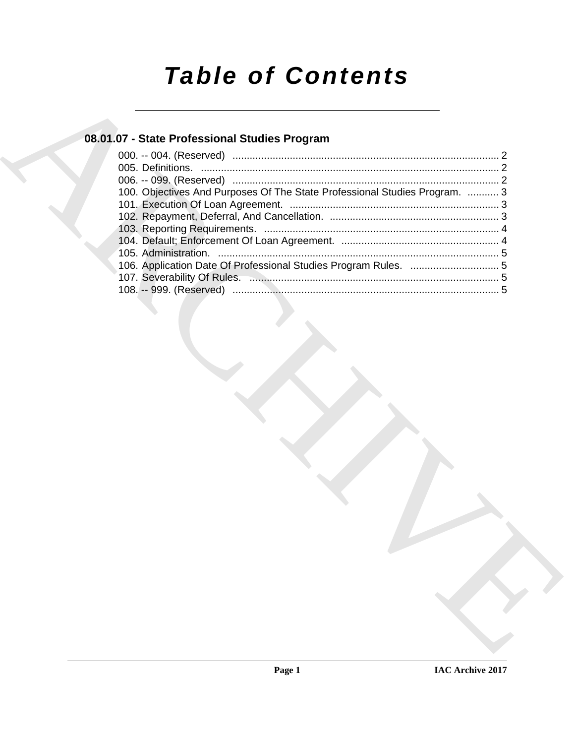# *Table of Contents*

### **08.01.07 - State Professional Studies Program**

| 08.01.07 - State Professional Studies Program                              |
|----------------------------------------------------------------------------|
|                                                                            |
|                                                                            |
|                                                                            |
| 100. Objectives And Purposes Of The State Professional Studies Program.  3 |
|                                                                            |
|                                                                            |
|                                                                            |
|                                                                            |
| 106. Application Date Of Professional Studies Program Rules.  5            |
|                                                                            |
|                                                                            |
|                                                                            |
|                                                                            |
|                                                                            |
|                                                                            |
|                                                                            |
|                                                                            |
|                                                                            |
|                                                                            |
|                                                                            |
|                                                                            |
|                                                                            |
|                                                                            |
|                                                                            |
|                                                                            |
|                                                                            |
|                                                                            |
|                                                                            |
|                                                                            |
|                                                                            |
|                                                                            |
|                                                                            |
|                                                                            |
|                                                                            |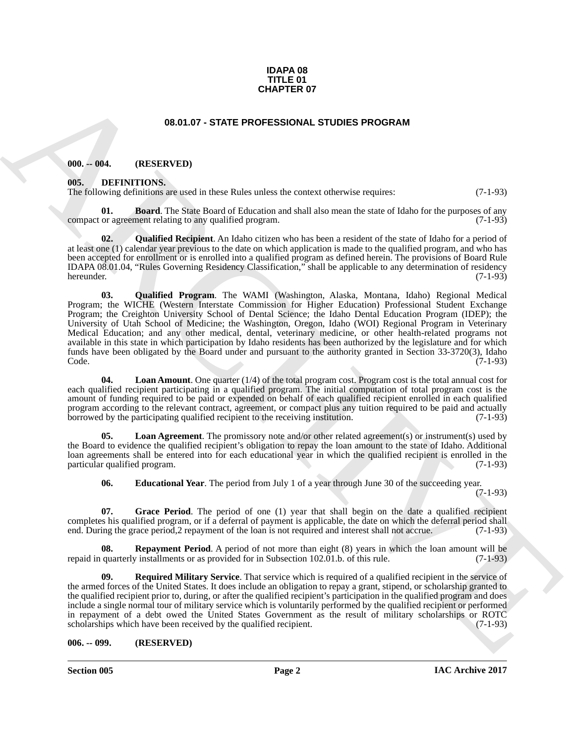#### **IDAPA 08 TITLE 01 CHAPTER 07**

#### **08.01.07 - STATE PROFESSIONAL STUDIES PROGRAM**

#### <span id="page-1-1"></span><span id="page-1-0"></span>**000. -- 004. (RESERVED)**

#### <span id="page-1-2"></span>**005. DEFINITIONS.**

The following definitions are used in these Rules unless the context otherwise requires: (7-1-93)

<span id="page-1-4"></span>**01. Board**. The State Board of Education and shall also mean the state of Idaho for the purposes of any compact or agreement relating to any qualified program. (7-1-93)

<span id="page-1-10"></span><span id="page-1-9"></span>**02. Qualified Recipient**. An Idaho citizen who has been a resident of the state of Idaho for a period of at least one (1) calendar year previous to the date on which application is made to the qualified program, and who has been accepted for enrollment or is enrolled into a qualified program as defined herein. The provisions of Board Rule IDAPA 08.01.04, "Rules Governing Residency Classification," shall be applicable to any determination of residency hereunder. (7-1-93)

**CHAPTER OF**<br> **CHAPTER OF**<br> **CHAPTER PROFESSIONAL STUDIES PROGRAM**<br> **CHAPTER PROFESSIONAL STUDIES PROGRAM**<br> **CHAPTER PROFESSIONAL STUDIES PROGRAM**<br> **CHAPTER PROFESSIONAL STUDIES PROGRAM**<br> **CHAPTER TOTAL STUDIES PROFESSION 03. Qualified Program**. The WAMI (Washington, Alaska, Montana, Idaho) Regional Medical Program; the WICHE (Western Interstate Commission for Higher Education) Professional Student Exchange Program; the Creighton University School of Dental Science; the Idaho Dental Education Program (IDEP); the University of Utah School of Medicine; the Washington, Oregon, Idaho (WOI) Regional Program in Veterinary Medical Education; and any other medical, dental, veterinary medicine, or other health-related programs not available in this state in which participation by Idaho residents has been authorized by the legislature and for which funds have been obligated by the Board under and pursuant to the authority granted in Section 33-3720(3), Idaho Code. (7-1-93)

<span id="page-1-8"></span>**04. Loan Amount**. One quarter (1/4) of the total program cost. Program cost is the total annual cost for each qualified recipient participating in a qualified program. The initial computation of total program cost is the amount of funding required to be paid or expended on behalf of each qualified recipient enrolled in each qualified program according to the relevant contract, agreement, or compact plus any tuition required to be paid and actually borrowed by the participating qualified recipient to the receiving institution. (7-1-93) borrowed by the participating qualified recipient to the receiving institution.

**05. Loan Agreement**. The promissory note and/or other related agreement(s) or instrument(s) used by the Board to evidence the qualified recipient's obligation to repay the loan amount to the state of Idaho. Additional loan agreements shall be entered into for each educational year in which the qualified recipient is enrolled in the particular qualified program. (7-1-93) particular qualified program.

<span id="page-1-11"></span><span id="page-1-7"></span><span id="page-1-6"></span><span id="page-1-5"></span>**06. Educational Year**. The period from July 1 of a year through June 30 of the succeeding year.

(7-1-93)

**07. Grace Period**. The period of one (1) year that shall begin on the date a qualified recipient completes his qualified program, or if a deferral of payment is applicable, the date on which the deferral period shall end. During the grace period,2 repayment of the loan is not required and interest shall not accrue. (7-1-93)

**08. Repayment Period**. A period of not more than eight (8) years in which the loan amount will be quarterly installments or as provided for in Subsection 102.01.b. of this rule. (7-1-93) repaid in quarterly installments or as provided for in Subsection 102.01.b. of this rule.

<span id="page-1-12"></span>**09. Required Military Service**. That service which is required of a qualified recipient in the service of the armed forces of the United States. It does include an obligation to repay a grant, stipend, or scholarship granted to the qualified recipient prior to, during, or after the qualified recipient's participation in the qualified program and does include a single normal tour of military service which is voluntarily performed by the qualified recipient or performed in repayment of a debt owed the United States Government as the result of military scholarships or ROTC scholarships which have been received by the qualified recipient. (7-1-93)

#### <span id="page-1-3"></span>**006. -- 099. (RESERVED)**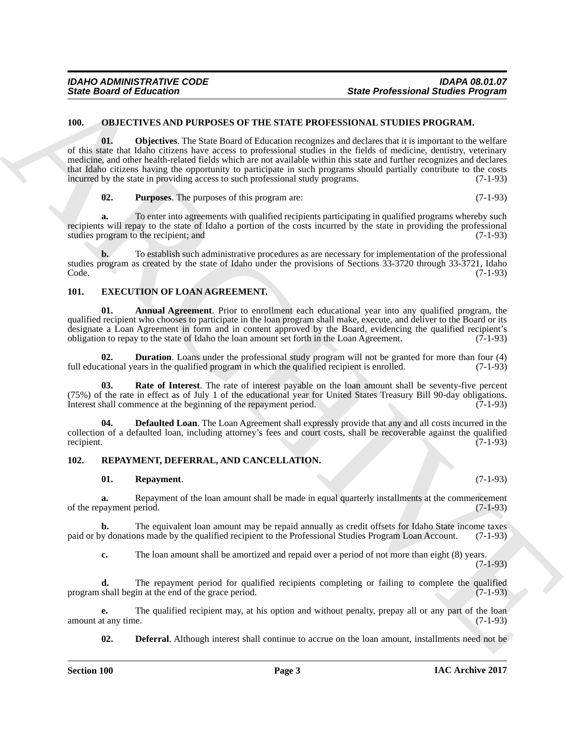#### <span id="page-2-7"></span><span id="page-2-0"></span>**100. OBJECTIVES AND PURPOSES OF THE STATE PROFESSIONAL STUDIES PROGRAM.**

Since Board of Enterstone THE SECTION CONTINUES TO THE SECTION CONTINUES TO SECTION AND THE SECTION CONTINUES TO A CONTINUES TO A CONTINUES TO A CONTINUES TO A CONTINUES TO A CONTINUES TO A CONTINUES TO A CONTINUES TO A C **01. Objectives**. The State Board of Education recognizes and declares that it is important to the welfare of this state that Idaho citizens have access to professional studies in the fields of medicine, dentistry, veterinary medicine, and other health-related fields which are not available within this state and further recognizes and declares that Idaho citizens having the opportunity to participate in such programs should partially contribute to the costs incurred by the state in providing access to such professional study programs. (7-1-93)

<span id="page-2-8"></span>**02. Purposes**. The purposes of this program are: (7-1-93)

**a.** To enter into agreements with qualified recipients participating in qualified programs whereby such recipients will repay to the state of Idaho a portion of the costs incurred by the state in providing the professional studies program to the recipient; and  $(7-1-93)$ 

**b.** To establish such administrative procedures as are necessary for implementation of the professional studies program as created by the state of Idaho under the provisions of Sections 33-3720 through 33-3721, Idaho Code. (7-1-93) Code. (7-1-93)

#### <span id="page-2-1"></span>**101. EXECUTION OF LOAN AGREEMENT.**

<span id="page-2-3"></span>**01. Annual Agreement**. Prior to enrollment each educational year into any qualified program, the qualified recipient who chooses to participate in the loan program shall make, execute, and deliver to the Board or its designate a Loan Agreement in form and in content approved by the Board, evidencing the qualified recipient's obligation to repay to the state of Idaho the loan amount set forth in the Loan Agreement. (7-1-93)

<span id="page-2-5"></span>**02. Duration**. Loans under the professional study program will not be granted for more than four (4) full educational years in the qualified program in which the qualified recipient is enrolled. (7-1-93)

<span id="page-2-6"></span>**03. Rate of Interest**. The rate of interest payable on the loan amount shall be seventy-five percent (75%) of the rate in effect as of July 1 of the educational year for United States Treasury Bill 90-day obligations. Interest shall commence at the beginning of the repayment period.  $(7-1-93)$ 

<span id="page-2-4"></span>**04. Defaulted Loan**. The Loan Agreement shall expressly provide that any and all costs incurred in the collection of a defaulted loan, including attorney's fees and court costs, shall be recoverable against the qualified recipient.  $(7-1-93)$ 

#### <span id="page-2-2"></span>**102. REPAYMENT, DEFERRAL, AND CANCELLATION.**

#### <span id="page-2-10"></span>**01. Repayment**. (7-1-93)

**a.** Repayment of the loan amount shall be made in equal quarterly installments at the commencement of the repayment period. (7-1-93)

**b.** The equivalent loan amount may be repaid annually as credit offsets for Idaho State income taxes v donations made by the qualified recipient to the Professional Studies Program Loan Account. (7-1-93) paid or by donations made by the qualified recipient to the Professional Studies Program Loan Account.

**c.** The loan amount shall be amortized and repaid over a period of not more than eight (8) years. (7-1-93)

**d.** The repayment period for qualified recipients completing or failing to complete the qualified program shall begin at the end of the grace period. (7-1-93)

**e.** The qualified recipient may, at his option and without penalty, prepay all or any part of the loan tany time. (7-1-93) amount at any time.

<span id="page-2-9"></span>**02. Deferral**. Although interest shall continue to accrue on the loan amount, installments need not be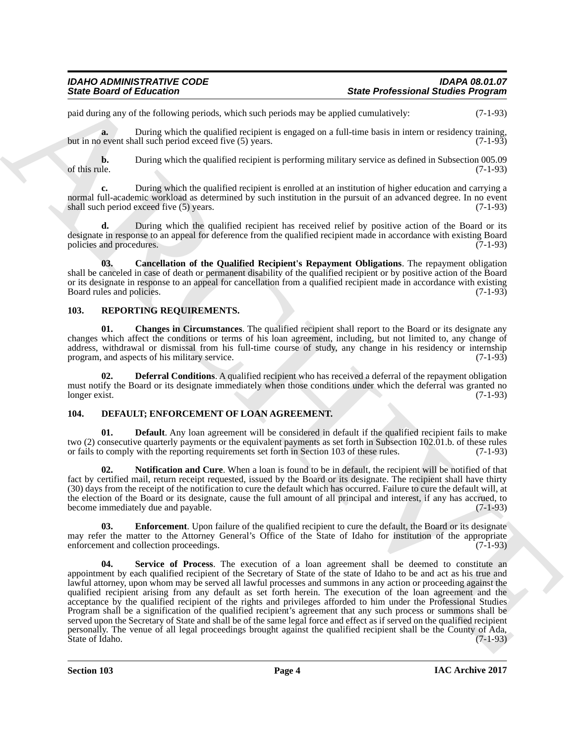paid during any of the following periods, which such periods may be applied cumulatively: (7-1-93)

**a.** During which the qualified recipient is engaged on a full-time basis in intern or residency training, but in no event shall such period exceed five (5) years. (7-1-93)

**b.** During which the qualified recipient is performing military service as defined in Subsection 005.09 of this rule. (7-1-93) of this rule.  $(7-1-93)$ 

**c.** During which the qualified recipient is enrolled at an institution of higher education and carrying a normal full-academic workload as determined by such institution in the pursuit of an advanced degree. In no event shall such period exceed five (5) years. (7-1-93) shall such period exceed five  $(5)$  years.

**d.** During which the qualified recipient has received relief by positive action of the Board or its designate in response to an appeal for deference from the qualified recipient made in accordance with existing Board policies and procedures. (7-1-93)

<span id="page-3-6"></span>**03. Cancellation of the Qualified Recipient's Repayment Obligations**. The repayment obligation shall be canceled in case of death or permanent disability of the qualified recipient or by positive action of the Board or its designate in response to an appeal for cancellation from a qualified recipient made in accordance with existing Board rules and policies. (7-1-93)

#### <span id="page-3-0"></span>**103. REPORTING REQUIREMENTS.**

<span id="page-3-7"></span>**01.** Changes in Circumstances. The qualified recipient shall report to the Board or its designate any changes which affect the conditions or terms of his loan agreement, including, but not limited to, any change of address, withdrawal or dismissal from his full-time course of study, any change in his residency or internship program, and aspects of his military service. (7-1-93) program, and aspects of his military service.

<span id="page-3-8"></span>**Deferral Conditions**. A qualified recipient who has received a deferral of the repayment obligation must notify the Board or its designate immediately when those conditions under which the deferral was granted no<br>(7-1-93) longer exist. (7-1-93)

#### <span id="page-3-1"></span>**104. DEFAULT; ENFORCEMENT OF LOAN AGREEMENT.**

<span id="page-3-2"></span>**01. Default**. Any loan agreement will be considered in default if the qualified recipient fails to make two (2) consecutive quarterly payments or the equivalent payments as set forth in Subsection 102.01.b. of these rules or fails to comply with the reporting requirements set forth in Section 103 of these rules. (7-1-93) or fails to comply with the reporting requirements set forth in Section 103 of these rules.

<span id="page-3-4"></span>**02. Notification and Cure**. When a loan is found to be in default, the recipient will be notified of that fact by certified mail, return receipt requested, issued by the Board or its designate. The recipient shall have thirty (30) days from the receipt of the notification to cure the default which has occurred. Failure to cure the default will, at the election of the Board or its designate, cause the full amount of all principal and interest, if any has accrued, to become immediately due and payable. (7-1-93) become immediately due and payable.

<span id="page-3-5"></span><span id="page-3-3"></span>**03. Enforcement**. Upon failure of the qualified recipient to cure the default, the Board or its designate may refer the matter to the Attorney General's Office of the State of Idaho for institution of the appropriate enforcement and collection proceedings. (7-1-93)

Since Growth of Holometers and the based periods and better and the Professional Since Professional Since  $p$ <br>
yield the particular period of the state of the state of the state of the state of the state of the state of t **04. Service of Process**. The execution of a loan agreement shall be deemed to constitute an appointment by each qualified recipient of the Secretary of State of the state of Idaho to be and act as his true and lawful attorney, upon whom may be served all lawful processes and summons in any action or proceeding against the qualified recipient arising from any default as set forth herein. The execution of the loan agreement and the acceptance by the qualified recipient of the rights and privileges afforded to him under the Professional Studies Program shall be a signification of the qualified recipient's agreement that any such process or summons shall be served upon the Secretary of State and shall be of the same legal force and effect as if served on the qualified recipient personally. The venue of all legal proceedings brought against the qualified recipient shall be the County of Ada,<br>(7-1-93) State of Idaho.

**Section 103 Page 4**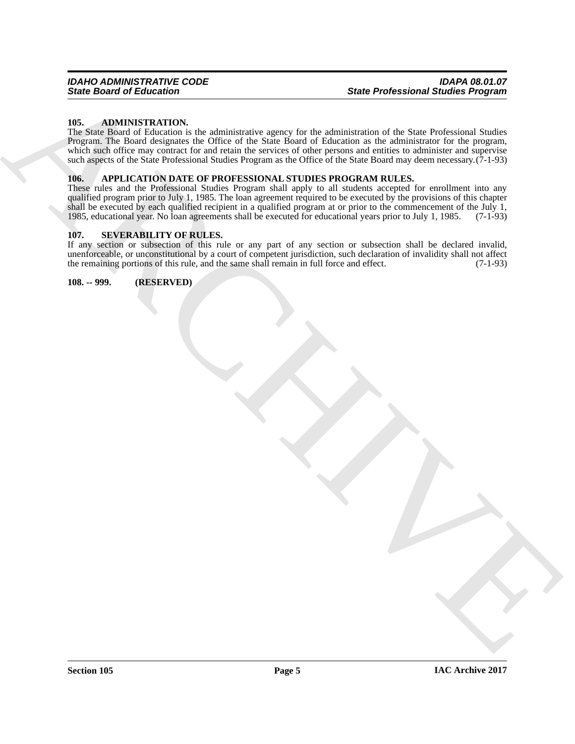#### <span id="page-4-4"></span><span id="page-4-0"></span>**105. ADMINISTRATION.**

Since Broad of Euleration Company and the real of the space of the state Professional Singlet Professional Company<br>
How the property of the state of the state of the state of the state of the state of the state of the sta The State Board of Education is the administrative agency for the administration of the State Professional Studies Program. The Board designates the Office of the State Board of Education as the administrator for the program, which such office may contract for and retain the services of other persons and entities to administer and supervise such aspects of the State Professional Studies Program as the Office of the State Board may deem necessary.(7-1-93)

#### <span id="page-4-5"></span><span id="page-4-1"></span>**106. APPLICATION DATE OF PROFESSIONAL STUDIES PROGRAM RULES.**

These rules and the Professional Studies Program shall apply to all students accepted for enrollment into any qualified program prior to July 1, 1985. The loan agreement required to be executed by the provisions of this chapter shall be executed by each qualified recipient in a qualified program at or prior to the commencement of the July 1, 1985, educational year. No loan agreements shall be executed for educational years prior to July 1, 1985. 1985, educational year. No loan agreements shall be executed for educational years prior to July 1, 1985.

#### <span id="page-4-2"></span>**107. SEVERABILITY OF RULES.**

If any section or subsection of this rule or any part of any section or subsection shall be declared invalid, unenforceable, or unconstitutional by a court of competent jurisdiction, such declaration of invalidity shall not affect<br>the remaining portions of this rule, and the same shall remain in full force and effect. (7-1-93) the remaining portions of this rule, and the same shall remain in full force and effect.

<span id="page-4-3"></span>**108. -- 999. (RESERVED)**